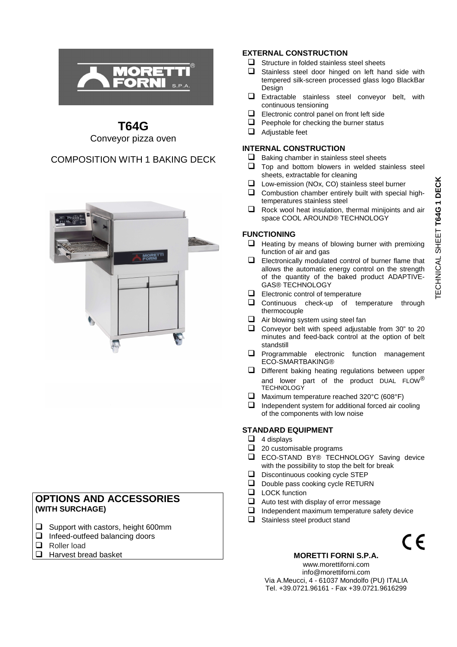

## **T64G**  Conveyor pizza oven

## COMPOSITION WITH 1 BAKING DECK



## **OPTIONS AND ACCESSORIES (WITH SURCHAGE)**

- $\Box$  Support with castors, height 600mm
- $\Box$  Infeed-outfeed balancing doors
- Roller load
- $\Box$  Harvest bread basket

#### **EXTERNAL CONSTRUCTION**

- $\Box$  Structure in folded stainless steel sheets
- $\Box$  Stainless steel door hinged on left hand side with tempered silk-screen processed glass logo BlackBar Design
- $\Box$  Extractable stainless steel conveyor belt, with continuous tensioning
- $\Box$  Electronic control panel on front left side
- $\Box$  Peephole for checking the burner status
- $\Box$  Adjustable feet

#### **INTERNAL CONSTRUCTION**

- $\Box$  Baking chamber in stainless steel sheets
- $\Box$  Top and bottom blowers in welded stainless steel sheets, extractable for cleaning
- Low-emission (NOx, CO) stainless steel burner  $\Box$  Combustion chamber entirely built with special hightemperatures stainless steel
- □ Rock wool heat insulation, thermal minijoints and air space COOL AROUND® TECHNOLOGY

### **FUNCTIONING**

- $\Box$  Heating by means of blowing burner with premixing function of air and gas
- $\Box$  Electronically modulated control of burner flame that allows the automatic energy control on the strength of the quantity of the baked product ADAPTIVE-GAS® TECHNOLOGY
- $\Box$  Electronic control of temperature
- **Q** Continuous check-up of temperature through thermocouple
- $\Box$  Air blowing system using steel fan
- $\Box$  Conveyor belt with speed adjustable from 30" to 20 minutes and feed-back control at the option of belt standstill
- $\Box$  Programmable electronic function management ECO-SMARTBAKING®
- $\Box$  Different baking heating regulations between upper and lower part of the product DUAL FLOW® **TECHNOLOGY**
- Maximum temperature reached 320°C (608°F)
- $\Box$  Independent system for additional forced air cooling of the components with low noise

#### **STANDARD EQUIPMENT**

- $\Box$  4 displays
- $\Box$  20 customisable programs
- **ECO-STAND BY® TECHNOLOGY Saving device** with the possibility to stop the belt for break
- Discontinuous cooking cycle STEP
- $\Box$  Double pass cooking cycle RETURN
- **LOCK** function
- $\Box$  Auto test with display of error message
- $\Box$  Independent maximum temperature safety device
- $\Box$  Stainless steel product stand



#### **MORETTI FORNI S.P.A.**

www.morettiforni.com info@morettiforni.com Via A.Meucci, 4 - 61037 Mondolfo (PU) ITALIA Tel. +39.0721.96161 - Fax +39.0721.9616299